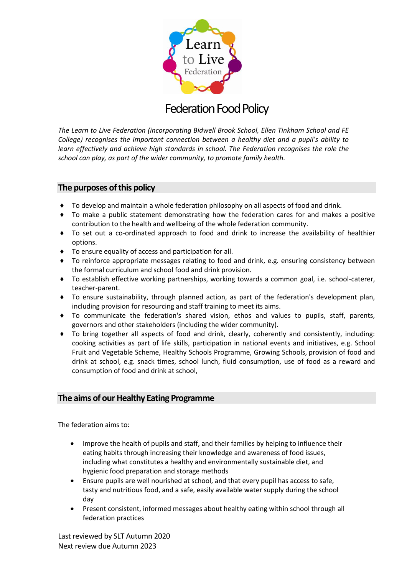

# **Federation Food Policy**

*The Learn to Live Federation (incorporating Bidwell Brook School, Ellen Tinkham School and FE College) recognises the important connection between a healthy diet and a pupil's ability to learn effectively and achieve high standards in school. The Federation recognises the role the school can play, as part of the wider community, to promote family health.* 

# **The purposes of this policy**

- ♦ To develop and maintain a whole federation philosophy on all aspects of food and drink.
- ♦ To make a public statement demonstrating how the federation cares for and makes a positive contribution to the health and wellbeing of the whole federation community.
- ♦ To set out a co-ordinated approach to food and drink to increase the availability of healthier options.
- ♦ To ensure equality of access and participation for all.
- ♦ To reinforce appropriate messages relating to food and drink, e.g. ensuring consistency between the formal curriculum and school food and drink provision.
- ♦ To establish effective working partnerships, working towards a common goal, i.e. school-caterer, teacher-parent.
- ♦ To ensure sustainability, through planned action, as part of the federation's development plan, including provision for resourcing and staff training to meet its aims.
- ♦ To communicate the federation's shared vision, ethos and values to pupils, staff, parents, governors and other stakeholders (including the wider community).
- ♦ To bring together all aspects of food and drink, clearly, coherently and consistently, including: cooking activities as part of life skills, participation in national events and initiatives, e.g. School Fruit and Vegetable Scheme, Healthy Schools Programme, Growing Schools, provision of food and drink at school, e.g. snack times, school lunch, fluid consumption, use of food as a reward and consumption of food and drink at school,

# **The aims of our Healthy Eating Programme**

The federation aims to:

- Improve the health of pupils and staff, and their families by helping to influence their eating habits through increasing their knowledge and awareness of food issues, including what constitutes a healthy and environmentally sustainable diet, and hygienic food preparation and storage methods
- Ensure pupils are well nourished at school, and that every pupil has access to safe, tasty and nutritious food, and a safe, easily available water supply during the school day
- Present consistent, informed messages about healthy eating within school through all federation practices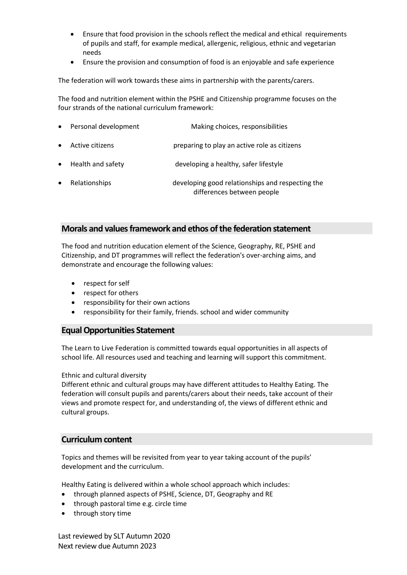- Ensure that food provision in the schools reflect the medical and ethical requirements of pupils and staff, for example medical, allergenic, religious, ethnic and vegetarian needs
- Ensure the provision and consumption of food is an enjoyable and safe experience

The federation will work towards these aims in partnership with the parents/carers.

The food and nutrition element within the PSHE and Citizenship programme focuses on the four strands of the national curriculum framework:

|           | • Personal development | Making choices, responsibilities                                               |
|-----------|------------------------|--------------------------------------------------------------------------------|
| $\bullet$ | Active citizens        | preparing to play an active role as citizens                                   |
|           | • Health and safety    | developing a healthy, safer lifestyle                                          |
| $\bullet$ | Relationships          | developing good relationships and respecting the<br>differences between people |

# **Morals and values framework and ethos of the federation statement**

The food and nutrition education element of the Science, Geography, RE, PSHE and Citizenship, and DT programmes will reflect the federation's over-arching aims, and demonstrate and encourage the following values:

- respect for self
- respect for others
- responsibility for their own actions
- responsibility for their family, friends. school and wider community

# **Equal Opportunities Statement**

The Learn to Live Federation is committed towards equal opportunities in all aspects of school life. All resources used and teaching and learning will support this commitment.

## Ethnic and cultural diversity

Different ethnic and cultural groups may have different attitudes to Healthy Eating. The federation will consult pupils and parents/carers about their needs, take account of their views and promote respect for, and understanding of, the views of different ethnic and cultural groups.

# **Curriculum content**

Topics and themes will be revisited from year to year taking account of the pupils' development and the curriculum.

Healthy Eating is delivered within a whole school approach which includes:

- through planned aspects of PSHE, Science, DT, Geography and RE
- through pastoral time e.g. circle time
- through story time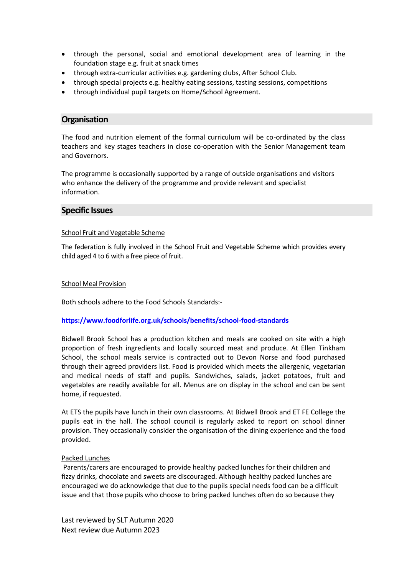- through the personal, social and emotional development area of learning in the foundation stage e.g. fruit at snack times
- through extra-curricular activities e.g. gardening clubs, After School Club.
- through special projects e.g. healthy eating sessions, tasting sessions, competitions
- through individual pupil targets on Home/School Agreement.

## **Organisation**

The food and nutrition element of the formal curriculum will be co-ordinated by the class teachers and key stages teachers in close co-operation with the Senior Management team and Governors.

The programme is occasionally supported by a range of outside organisations and visitors who enhance the delivery of the programme and provide relevant and specialist information.

## **Specific Issues**

#### School Fruit and Vegetable Scheme

The federation is fully involved in the School Fruit and Vegetable Scheme which provides every child aged 4 to 6 with a free piece of fruit.

#### School Meal Provision

Both schools adhere to the Food Schools Standards:-

## **<https://www.foodforlife.org.uk/schools/benefits/school-food-standards>**

Bidwell Brook School has a production kitchen and meals are cooked on site with a high proportion of fresh ingredients and locally sourced meat and produce. At Ellen Tinkham School, the school meals service is contracted out to Devon Norse and food purchased through their agreed providers list. Food is provided which meets the allergenic, vegetarian and medical needs of staff and pupils. Sandwiches, salads, jacket potatoes, fruit and vegetables are readily available for all. Menus are on display in the school and can be sent home, if requested.

At ETS the pupils have lunch in their own classrooms. At Bidwell Brook and ET FE College the pupils eat in the hall. The school council is regularly asked to report on school dinner provision. They occasionally consider the organisation of the dining experience and the food provided.

#### Packed Lunches

Parents/carers are encouraged to provide healthy packed lunches for their children and fizzy drinks, chocolate and sweets are discouraged. Although healthy packed lunches are encouraged we do acknowledge that due to the pupils special needs food can be a difficult issue and that those pupils who choose to bring packed lunches often do so because they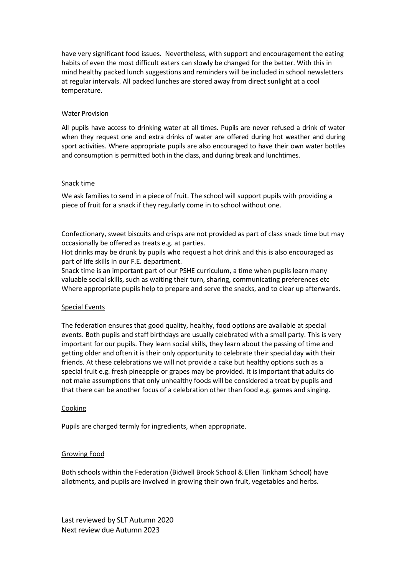have very significant food issues. Nevertheless, with support and encouragement the eating habits of even the most difficult eaters can slowly be changed for the better. With this in mind healthy packed lunch suggestions and reminders will be included in school newsletters at regular intervals. All packed lunches are stored away from direct sunlight at a cool temperature.

#### Water Provision

All pupils have access to drinking water at all times. Pupils are never refused a drink of water when they request one and extra drinks of water are offered during hot weather and during sport activities. Where appropriate pupils are also encouraged to have their own water bottles and consumption is permitted both in the class, and during break and lunchtimes.

#### Snack time

We ask families to send in a piece of fruit. The school will support pupils with providing a piece of fruit for a snack if they regularly come in to school without one.

Confectionary, sweet biscuits and crisps are not provided as part of class snack time but may occasionally be offered as treats e.g. at parties.

Hot drinks may be drunk by pupils who request a hot drink and this is also encouraged as part of life skills in our F.E. department.

Snack time is an important part of our PSHE curriculum, a time when pupils learn many valuable social skills, such as waiting their turn, sharing, communicating preferences etc Where appropriate pupils help to prepare and serve the snacks, and to clear up afterwards.

## Special Events

The federation ensures that good quality, healthy, food options are available at special events. Both pupils and staff birthdays are usually celebrated with a small party. This is very important for our pupils. They learn social skills, they learn about the passing of time and getting older and often it is their only opportunity to celebrate their special day with their friends. At these celebrations we will not provide a cake but healthy options such as a special fruit e.g. fresh pineapple or grapes may be provided. It is important that adults do not make assumptions that only unhealthy foods will be considered a treat by pupils and that there can be another focus of a celebration other than food e.g. games and singing.

#### Cooking

Pupils are charged termly for ingredients, when appropriate.

## Growing Food

Both schools within the Federation (Bidwell Brook School & Ellen Tinkham School) have allotments, and pupils are involved in growing their own fruit, vegetables and herbs.